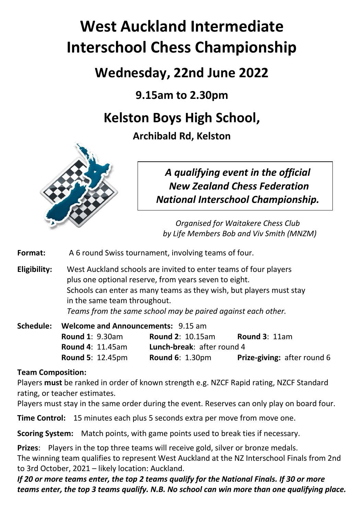# **West Auckland Intermediate Interschool Chess Championship**

## **Wednesday, 22nd June 2022**

**9.15am to 2.30pm**

## **Kelston Boys High School,**

**Archibald Rd, Kelston**



*A qualifying event in the official New Zealand Chess Federation National Interschool Championship.*

*Organised for Waitakere Chess Club by Life Members Bob and Viv Smith (MNZM)*

**Format:** A 6 round Swiss tournament, involving teams of four.

**Eligibility:** West Auckland schools are invited to enter teams of four players plus one optional reserve, from years seven to eight. Schools can enter as many teams as they wish, but players must stay in the same team throughout. *Teams from the same school may be paired against each other.* 

**Schedule: Welcome and Announcements:** 9.15 am **Round 1**: 9.30am **Round 2**: 10.15am **Round 3**: 11am **Round 4**: 11.45am **Lunch-break**: after round 4 **Round 5**: 12.45pm **Round 6**: 1.30pm **Prize-giving:** after round 6

### **Team Composition:**

Players **must** be ranked in order of known strength e.g. NZCF Rapid rating, NZCF Standard rating, or teacher estimates.

Players must stay in the same order during the event. Reserves can only play on board four.

**Time Control:** 15 minutes each plus 5 seconds extra per move from move one.

**Scoring System:** Match points, with game points used to break ties if necessary.

**Prizes**: Players in the top three teams will receive gold, silver or bronze medals. The winning team qualifies to represent West Auckland at the NZ Interschool Finals from 2nd to 3rd October, 2021 – likely location: Auckland.

*If 20 or more teams enter, the top 2 teams qualify for the National Finals. If 30 or more teams enter, the top 3 teams qualify. N.B. No school can win more than one qualifying place.*